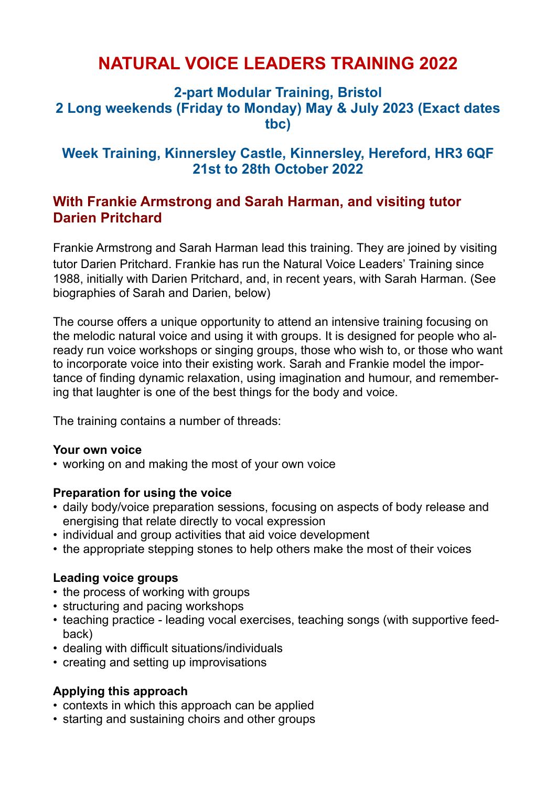# **NATURAL VOICE LEADERS TRAINING 2022**

### **2-part Modular Training, Bristol 2 Long weekends (Friday to Monday) May & July 2023 (Exact dates tbc)**

### **Week Training, Kinnersley Castle, Kinnersley, Hereford, HR3 6QF 21st to 28th October 2022**

### **With Frankie Armstrong and Sarah Harman, and visiting tutor Darien Pritchard**

Frankie Armstrong and Sarah Harman lead this training. They are joined by visiting tutor Darien Pritchard. Frankie has run the Natural Voice Leaders' Training since 1988, initially with Darien Pritchard, and, in recent years, with Sarah Harman. (See biographies of Sarah and Darien, below)

The course offers a unique opportunity to attend an intensive training focusing on the melodic natural voice and using it with groups. It is designed for people who already run voice workshops or singing groups, those who wish to, or those who want to incorporate voice into their existing work. Sarah and Frankie model the importance of finding dynamic relaxation, using imagination and humour, and remembering that laughter is one of the best things for the body and voice.

The training contains a number of threads:

#### **Your own voice**

• working on and making the most of your own voice

#### **Preparation for using the voice**

- daily body/voice preparation sessions, focusing on aspects of body release and energising that relate directly to vocal expression
- individual and group activities that aid voice development
- the appropriate stepping stones to help others make the most of their voices

#### **Leading voice groups**

- the process of working with groups
- structuring and pacing workshops
- teaching practice leading vocal exercises, teaching songs (with supportive feedback)
- dealing with difficult situations/individuals
- creating and setting up improvisations

#### **Applying this approach**

- contexts in which this approach can be applied
- starting and sustaining choirs and other groups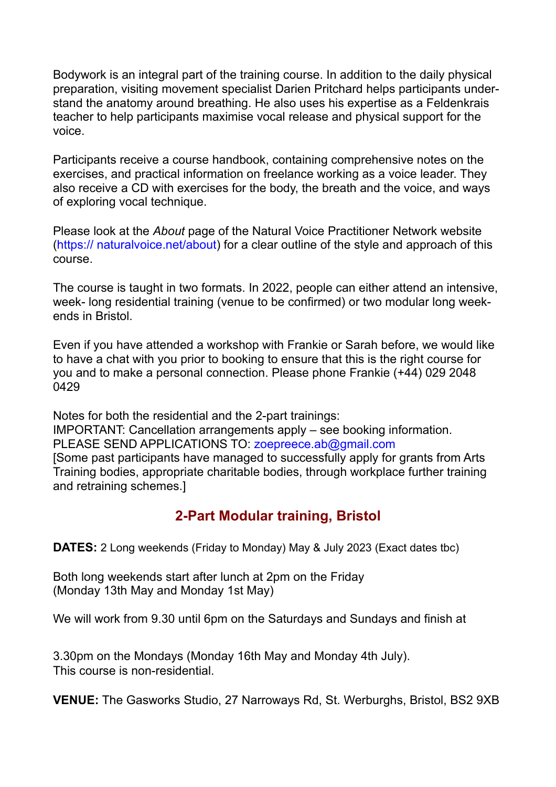Bodywork is an integral part of the training course. In addition to the daily physical preparation, visiting movement specialist Darien Pritchard helps participants understand the anatomy around breathing. He also uses his expertise as a Feldenkrais teacher to help participants maximise vocal release and physical support for the voice.

Participants receive a course handbook, containing comprehensive notes on the exercises, and practical information on freelance working as a voice leader. They also receive a CD with exercises for the body, the breath and the voice, and ways of exploring vocal technique.

Please look at the *About* page of the Natural Voice Practitioner Network website (https:// naturalvoice.net/about) for a clear outline of the style and approach of this course.

The course is taught in two formats. In 2022, people can either attend an intensive, week- long residential training (venue to be confirmed) or two modular long weekends in Bristol.

Even if you have attended a workshop with Frankie or Sarah before, we would like to have a chat with you prior to booking to ensure that this is the right course for you and to make a personal connection. Please phone Frankie (+44) 029 2048 0429

Notes for both the residential and the 2-part trainings:

IMPORTANT: Cancellation arrangements apply – see booking information. PLEASE SEND APPLICATIONS TO: zoepreece.ab@gmail.com

[Some past participants have managed to successfully apply for grants from Arts Training bodies, appropriate charitable bodies, through workplace further training and retraining schemes.]

## **2-Part Modular training, Bristol**

**DATES:** 2 Long weekends (Friday to Monday) May & July 2023 (Exact dates tbc)

Both long weekends start after lunch at 2pm on the Friday (Monday 13th May and Monday 1st May)

We will work from 9.30 until 6pm on the Saturdays and Sundays and finish at

3.30pm on the Mondays (Monday 16th May and Monday 4th July). This course is non-residential.

**VENUE:** The Gasworks Studio, 27 Narroways Rd, St. Werburghs, Bristol, BS2 9XB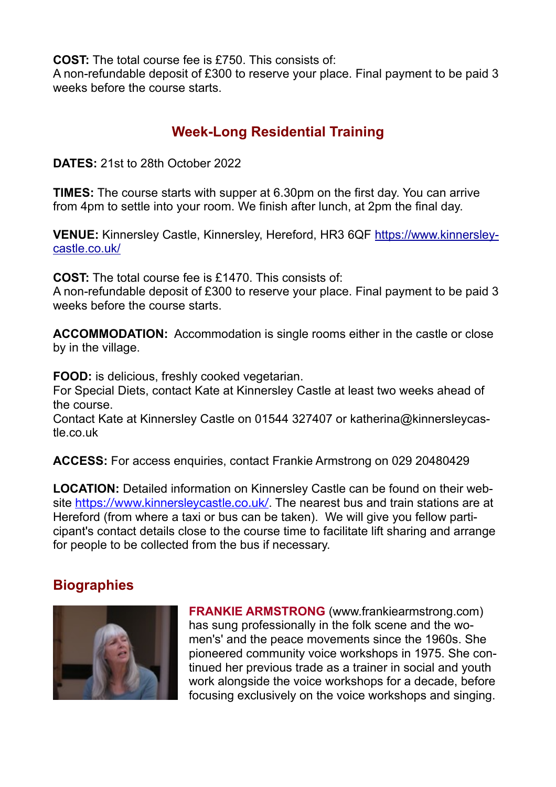**COST:** The total course fee is £750. This consists of:

A non-refundable deposit of £300 to reserve your place. Final payment to be paid 3 weeks before the course starts.

# **Week-Long Residential Training**

**DATES:** 21st to 28th October 2022

**TIMES:** The course starts with supper at 6.30pm on the first day. You can arrive from 4pm to settle into your room. We finish after lunch, at 2pm the final day.

**VENUE:** Kinnersley Castle, Kinnersley, Hereford, HR3 6QF https://www.kinnersleycastle.co.uk/

**COST:** The total course fee is £1470. This consists of:

A non-refundable deposit of £300 to reserve your place. Final payment to be paid 3 weeks before the course starts.

**ACCOMMODATION:** Accommodation is single rooms either in the castle or close by in the village.

**FOOD:** is delicious, freshly cooked vegetarian.

For Special Diets, contact Kate at Kinnersley Castle at least two weeks ahead of the course.

Contact Kate at Kinnersley Castle on 01544 327407 or katherina@kinnersleycastle.co.uk

**ACCESS:** For access enquiries, contact Frankie Armstrong on 029 20480429

**LOCATION:** Detailed information on Kinnersley Castle can be found on their website <https://www.kinnersleycastle.co.uk/>. The nearest bus and train stations are at Hereford (from where a taxi or bus can be taken). We will give you fellow participant's contact details close to the course time to facilitate lift sharing and arrange for people to be collected from the bus if necessary.

# **Biographies**



**FRANKIE ARMSTRONG** (www.frankiearmstrong.com) has sung professionally in the folk scene and the women's' and the peace movements since the 1960s. She pioneered community voice workshops in 1975. She continued her previous trade as a trainer in social and youth work alongside the voice workshops for a decade, before focusing exclusively on the voice workshops and singing.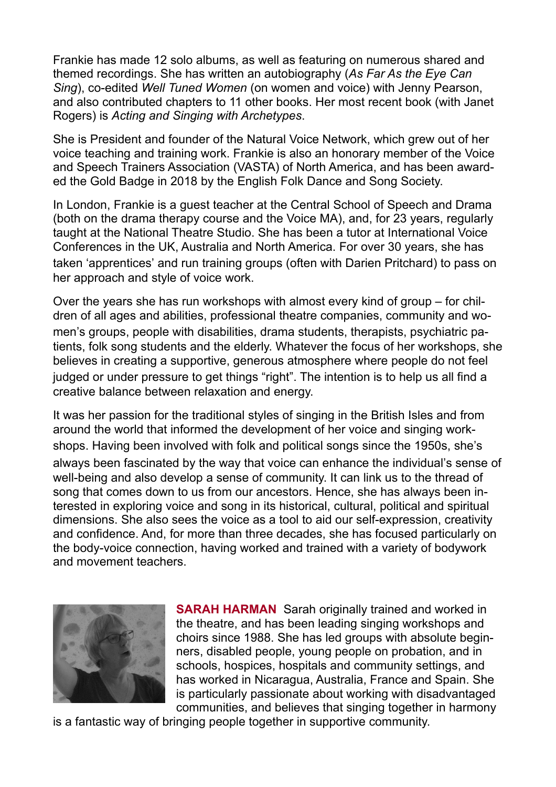Frankie has made 12 solo albums, as well as featuring on numerous shared and themed recordings. She has written an autobiography (*As Far As the Eye Can Sing*), co-edited *Well Tuned Women* (on women and voice) with Jenny Pearson, and also contributed chapters to 11 other books. Her most recent book (with Janet Rogers) is *Acting and Singing with Archetypes*.

She is President and founder of the Natural Voice Network, which grew out of her voice teaching and training work. Frankie is also an honorary member of the Voice and Speech Trainers Association (VASTA) of North America, and has been awarded the Gold Badge in 2018 by the English Folk Dance and Song Society.

In London, Frankie is a guest teacher at the Central School of Speech and Drama (both on the drama therapy course and the Voice MA), and, for 23 years, regularly taught at the National Theatre Studio. She has been a tutor at International Voice Conferences in the UK, Australia and North America. For over 30 years, she has taken 'apprentices' and run training groups (often with Darien Pritchard) to pass on her approach and style of voice work.

Over the years she has run workshops with almost every kind of group – for children of all ages and abilities, professional theatre companies, community and women's groups, people with disabilities, drama students, therapists, psychiatric patients, folk song students and the elderly. Whatever the focus of her workshops, she believes in creating a supportive, generous atmosphere where people do not feel judged or under pressure to get things "right". The intention is to help us all find a creative balance between relaxation and energy.

It was her passion for the traditional styles of singing in the British Isles and from around the world that informed the development of her voice and singing workshops. Having been involved with folk and political songs since the 1950s, she's always been fascinated by the way that voice can enhance the individual's sense of well-being and also develop a sense of community. It can link us to the thread of song that comes down to us from our ancestors. Hence, she has always been interested in exploring voice and song in its historical, cultural, political and spiritual dimensions. She also sees the voice as a tool to aid our self-expression, creativity and confidence. And, for more than three decades, she has focused particularly on the body-voice connection, having worked and trained with a variety of bodywork and movement teachers.



**SARAH HARMAN** Sarah originally trained and worked in the theatre, and has been leading singing workshops and choirs since 1988. She has led groups with absolute beginners, disabled people, young people on probation, and in schools, hospices, hospitals and community settings, and has worked in Nicaragua, Australia, France and Spain. She is particularly passionate about working with disadvantaged communities, and believes that singing together in harmony

is a fantastic way of bringing people together in supportive community.